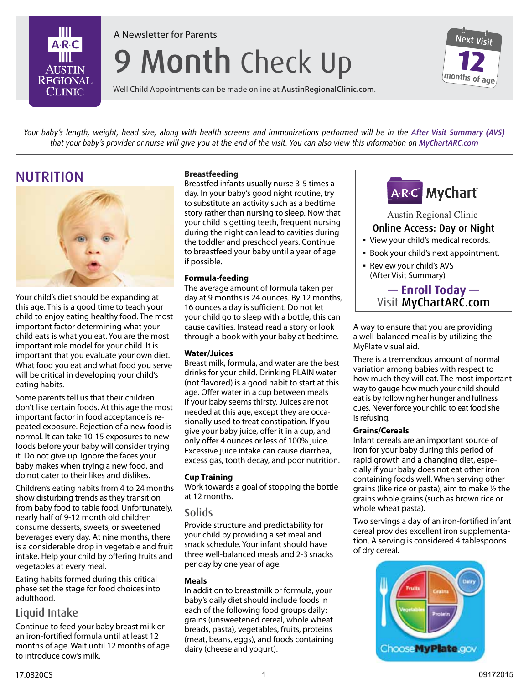

# A Newsletter for Parents Newsletter for 9 Month Check Up



**Well Child Appointments can be made online at AustinRegionalClinic.com.** 

Your baby's length, weight, head size, along with health screens and immunizations performed will be in the After Visit Summary (AVS) *that your baby's provider or nurse will give you at the end of the visit. You can also view this information on MyChartARC.com*

# **NUTRITION**



Your child's diet should be expanding at this age. This is a good time to teach your child to enjoy eating healthy food. The most important factor determining what your child eats is what you eat. You are the most important role model for your child. It is important that you evaluate your own diet. What food you eat and what food you serve will be critical in developing your child's eating habits.

Some parents tell us that their children don't like certain foods. At this age the most important factor in food acceptance is repeated exposure. Rejection of a new food is normal. It can take 10-15 exposures to new foods before your baby will consider trying it. Do not give up. Ignore the faces your baby makes when trying a new food, and do not cater to their likes and dislikes.

Children's eating habits from 4 to 24 months show disturbing trends as they transition from baby food to table food. Unfortunately, nearly half of 9-12 month old children consume desserts, sweets, or sweetened beverages every day. At nine months, there is a considerable drop in vegetable and fruit intake. Help your child by offering fruits and vegetables at every meal.

Eating habits formed during this critical phase set the stage for food choices into adulthood.

# Liquid Intake

Continue to feed your baby breast milk or an iron-fortified formula until at least 12 months of age. Wait until 12 months of age to introduce cow's milk.

#### **Breastfeeding**

Breastfed infants usually nurse 3-5 times a day. In your baby's good night routine, try to substitute an activity such as a bedtime story rather than nursing to sleep. Now that your child is getting teeth, frequent nursing during the night can lead to cavities during the toddler and preschool years. Continue to breastfeed your baby until a year of age if possible.

#### **Formula-feeding**

The average amount of formula taken per day at 9 months is 24 ounces. By 12 months, 16 ounces a day is sufficient. Do not let your child go to sleep with a bottle, this can cause cavities. Instead read a story or look through a book with your baby at bedtime.

#### **Water/Juices**

Breast milk, formula, and water are the best drinks for your child. Drinking PLAIN water (not flavored) is a good habit to start at this age. Offer water in a cup between meals if your baby seems thirsty. Juices are not needed at this age, except they are occasionally used to treat constipation. If you give your baby juice, offer it in a cup, and only offer 4 ounces or less of 100% juice. Excessive juice intake can cause diarrhea, excess gas, tooth decay, and poor nutrition.

### **Cup Training**

Work towards a goal of stopping the bottle at 12 months.

### Solids

Provide structure and predictability for your child by providing a set meal and snack schedule. Your infant should have three well-balanced meals and 2-3 snacks per day by one year of age.

#### **Meals**

In addition to breastmilk or formula, your baby's daily diet should include foods in each of the following food groups daily: grains (unsweetened cereal, whole wheat breads, pasta), vegetables, fruits, proteins (meat, beans, eggs), and foods containing dairy (cheese and yogurt).



**Austin Regional Clinic** 

# Online Access: Day or Night

- View your child's medical records.
- Book your child's next appointment.
- Review your child's AVS (After Visit Summary)



A way to ensure that you are providing a well-balanced meal is by utilizing the MyPlate visual aid.

There is a tremendous amount of normal variation among babies with respect to how much they will eat. The most important way to gauge how much your child should eat is by following her hunger and fullness cues. Never force your child to eat food she is refusing.

#### **Grains/Cereals**

Infant cereals are an important source of iron for your baby during this period of rapid growth and a changing diet, especially if your baby does not eat other iron containing foods well. When serving other grains (like rice or pasta), aim to make ½ the grains whole grains (such as brown rice or whole wheat pasta).

Two servings a day of an iron-fortified infant cereal provides excellent iron supplementation. A serving is considered 4 tablespoons of dry cereal.

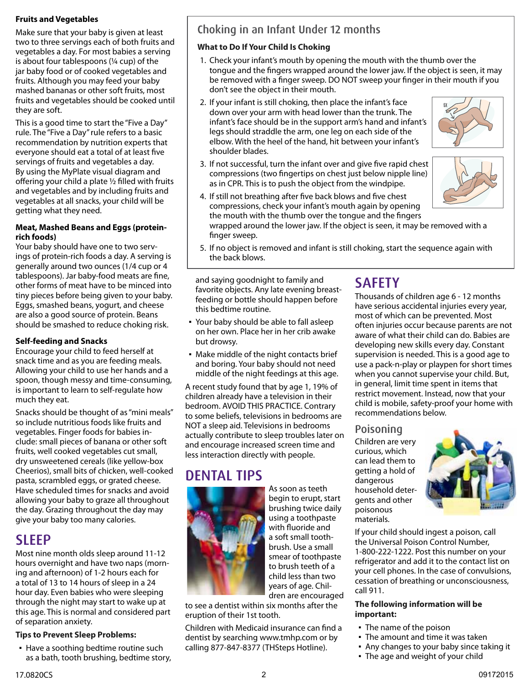### **Fruits and Vegetables**

Make sure that your baby is given at least two to three servings each of both fruits and vegetables a day. For most babies a serving is about four tablespoons (¼ cup) of the jar baby food or of cooked vegetables and fruits. Although you may feed your baby mashed bananas or other soft fruits, most fruits and vegetables should be cooked until they are soft.

This is a good time to start the "Five a Day" rule. The "Five a Day" rule refers to a basic recommendation by nutrition experts that everyone should eat a total of at least five servings of fruits and vegetables a day. By using the MyPlate visual diagram and offering your child a plate ½ filled with fruits and vegetables and by including fruits and vegetables at all snacks, your child will be getting what they need.

#### **Meat, Mashed Beans and Eggs (proteinrich foods)**

Your baby should have one to two servings of protein-rich foods a day. A serving is generally around two ounces (1/4 cup or 4 tablespoons). Jar baby-food meats are fine, other forms of meat have to be minced into tiny pieces before being given to your baby. Eggs, smashed beans, yogurt, and cheese are also a good source of protein. Beans should be smashed to reduce choking risk.

### **Self-feeding and Snacks**

Encourage your child to feed herself at snack time and as you are feeding meals. Allowing your child to use her hands and a spoon, though messy and time-consuming, is important to learn to self-regulate how much they eat.

Snacks should be thought of as "mini meals" so include nutritious foods like fruits and vegetables. Finger foods for babies include: small pieces of banana or other soft fruits, well cooked vegetables cut small, dry unsweetened cereals (like yellow-box Cheerios), small bits of chicken, well-cooked pasta, scrambled eggs, or grated cheese. Have scheduled times for snacks and avoid allowing your baby to graze all throughout the day. Grazing throughout the day may give your baby too many calories.

# **SIFFP**

Most nine month olds sleep around 11-12 hours overnight and have two naps (morning and afternoon) of 1-2 hours each for a total of 13 to 14 hours of sleep in a 24 hour day. Even babies who were sleeping through the night may start to wake up at this age. This is normal and considered part of separation anxiety.

### **Tips to Prevent Sleep Problems:**

▪ Have a soothing bedtime routine such as a bath, tooth brushing, bedtime story,

# Choking in an Infant Under 12 months

# **What to Do If Your Child Is Choking**

- 1. Check your infant's mouth by opening the mouth with the thumb over the tongue and the fingers wrapped around the lower jaw. If the object is seen, it may be removed with a finger sweep. DO NOT sweep your finger in their mouth if you don't see the object in their mouth.
- 2. If your infant is still choking, then place the infant's face down over your arm with head lower than the trunk. The infant's face should be in the support arm's hand and infant's legs should straddle the arm, one leg on each side of the elbow. With the heel of the hand, hit between your infant's shoulder blades.
- 3. If not successful, turn the infant over and give five rapid chest compressions (two fingertips on chest just below nipple line) as in CPR. This is to push the object from the windpipe.



- 
- 4. If still not breathing after five back blows and five chest compressions, check your infant's mouth again by opening the mouth with the thumb over the tongue and the fingers wrapped around the lower jaw. If the object is seen, it may be removed with a

finger sweep.

5. If no object is removed and infant is still choking, start the sequence again with the back blows.

and saying goodnight to family and favorite objects. Any late evening breastfeeding or bottle should happen before this bedtime routine.

- Your baby should be able to fall asleep on her own. Place her in her crib awake but drowsy.
- **Make middle of the night contacts brief** and boring. Your baby should not need middle of the night feedings at this age.

A recent study found that by age 1, 19% of children already have a television in their bedroom. AVOID THIS PRACTICE. Contrary to some beliefs, televisions in bedrooms are NOT a sleep aid. Televisions in bedrooms actually contribute to sleep troubles later on and encourage increased screen time and less interaction directly with people.

# Dental Tips



As soon as teeth begin to erupt, start brushing twice daily using a toothpaste with fluoride and a soft small toothbrush. Use a small smear of toothpaste to brush teeth of a child less than two years of age. Children are encouraged

to see a dentist within six months after the eruption of their 1st tooth.

Children with Medicaid insurance can find a dentist by searching www.tmhp.com or by calling 877-847-8377 (THSteps Hotline).

# **SAFFTY**

Thousands of children age 6 - 12 months have serious accidental injuries every year, most of which can be prevented. Most often injuries occur because parents are not aware of what their child can do. Babies are developing new skills every day. Constant supervision is needed. This is a good age to use a pack-n-play or playpen for short times when you cannot supervise your child. But, in general, limit time spent in items that restrict movement. Instead, now that your child is mobile, safety-proof your home with recommendations below.

# Poisoning

Children are very curious, which can lead them to getting a hold of dangerous household detergents and other poisonous materials.



If your child should ingest a poison, call the Universal Poison Control Number, 1-800-222-1222. Post this number on your refrigerator and add it to the contact list on your cell phones. In the case of convulsions, cessation of breathing or unconsciousness, call 911.

#### **The following information will be important:**

- The name of the poison
- **The amount and time it was taken**
- Any changes to your baby since taking it
- **The age and weight of your child**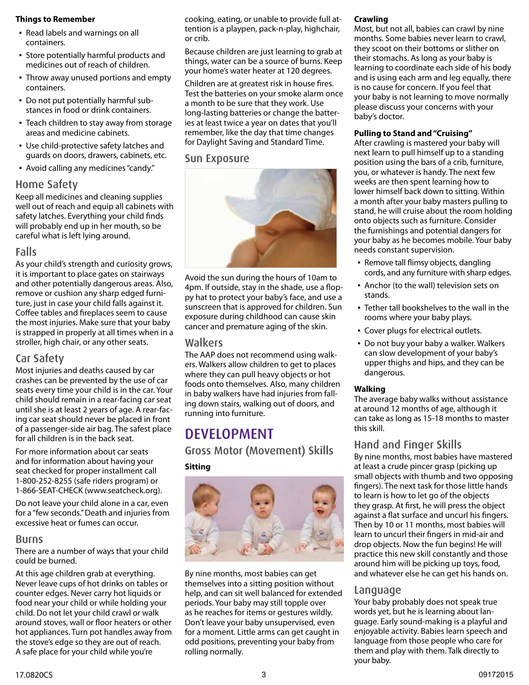#### **Things to Remember**

- Read labels and warnings on all containers.
- Store potentially harmful products and medicines out of reach of children.
- Throw away unused portions and empty containers.
- Do not put potentially harmful substances in food or drink containers.
- **Teach children to stay away from storage** areas and medicine cabinets.
- Use child-protective safety latches and guards on doors, drawers, cabinets, etc.
- Avoid calling any medicines "candy."

## Home Safety

Keep all medicines and cleaning supplies well out of reach and equip all cabinets with safety latches. Everything your child finds will probably end up in her mouth, so be careful what is left lying around.

# Falls

As your child's strength and curiosity grows, it is important to place gates on stairways and other potentially dangerous areas. Also, remove or cushion any sharp edged furniture, just in case your child falls against it. Coffee tables and fireplaces seem to cause the most injuries. Make sure that your baby is strapped in properly at all times when in a stroller, high chair, or any other seats.

# Car Safety

Most injuries and deaths caused by car crashes can be prevented by the use of car seats every time your child is in the car. Your child should remain in a rear-facing car seat until she is at least 2 years of age. A rear-facing car seat should never be placed in front of a passenger-side air bag. The safest place for all children is in the back seat.

For more information about car seats and for information about having your seat checked for proper installment call 1-800-252-8255 (safe riders program) or 1-866-SEAT-CHECK (www.seatcheck.org).

Do not leave your child alone in a car, even for a "few seconds." Death and injuries from excessive heat or fumes can occur.

### Burns

There are a number of ways that your child could be burned.

At this age children grab at everything. Never leave cups of hot drinks on tables or counter edges. Never carry hot liquids or food near your child or while holding your child. Do not let your child crawl or walk around stoves, wall or floor heaters or other hot appliances. Turn pot handles away from the stove's edge so they are out of reach. A safe place for your child while you're

cooking, eating, or unable to provide full attention is a playpen, pack-n-play, highchair, or crib.

Because children are just learning to grab at things, water can be a source of burns. Keep your home's water heater at 120 degrees.

Children are at greatest risk in house fires. Test the batteries on your smoke alarm once a month to be sure that they work. Use long-lasting batteries or change the batteries at least twice a year on dates that you'll remember, like the day that time changes for Daylight Saving and Standard Time.

# Sun Exposure



Avoid the sun during the hours of 10am to 4pm. If outside, stay in the shade, use a floppy hat to protect your baby's face, and use a sunscreen that is approved for children. Sun exposure during childhood can cause skin cancer and premature aging of the skin.

# **Walkers**

The AAP does not recommend using walkers. Walkers allow children to get to places where they can pull heavy objects or hot foods onto themselves. Also, many children in baby walkers have had injuries from falling down stairs, walking out of doors, and running into furniture.

# **DEVELOPMENT**

Gross Motor (Movement) Skills

### **Sitting**



By nine months, most babies can get themselves into a sitting position without help, and can sit well balanced for extended periods. Your baby may still topple over as he reaches for items or gestures wildly. Don't leave your baby unsupervised, even for a moment. Little arms can get caught in odd positions, preventing your baby from rolling normally.

#### **Crawling**

Most, but not all, babies can crawl by nine months. Some babies never learn to crawl, they scoot on their bottoms or slither on their stomachs. As long as your baby is learning to coordinate each side of his body and is using each arm and leg equally, there is no cause for concern. If you feel that your baby is not learning to move normally please discuss your concerns with your baby's doctor.

### **Pulling to Stand and "Cruising"**

After crawling is mastered your baby will next learn to pull himself up to a standing position using the bars of a crib, furniture, you, or whatever is handy. The next few weeks are then spent learning how to lower himself back down to sitting. Within a month after your baby masters pulling to stand, he will cruise about the room holding onto objects such as furniture. Consider the furnishings and potential dangers for your baby as he becomes mobile. Your baby needs constant supervision.

- Remove tall flimsy objects, dangling cords, and any furniture with sharp edges.
- Anchor (to the wall) television sets on stands.
- Tether tall bookshelves to the wall in the rooms where your baby plays.
- Cover plugs for electrical outlets.
- Do not buy your baby a walker. Walkers can slow development of your baby's upper thighs and hips, and they can be dangerous.

#### **Walking**

The average baby walks without assistance at around 12 months of age, although it can take as long as 15-18 months to master this skill.

# Hand and Finger Skills

By nine months, most babies have mastered at least a crude pincer grasp (picking up small objects with thumb and two opposing fingers). The next task for those little hands to learn is how to let go of the objects they grasp. At first, he will press the object against a flat surface and uncurl his fingers. Then by 10 or 11 months, most babies will learn to uncurl their fingers in mid-air and drop objects. Now the fun begins! He will practice this new skill constantly and those around him will be picking up toys, food, and whatever else he can get his hands on.

# Language

Your baby probably does not speak true words yet, but he is learning about language. Early sound-making is a playful and enjoyable activity. Babies learn speech and language from those people who care for them and play with them. Talk directly to your baby.